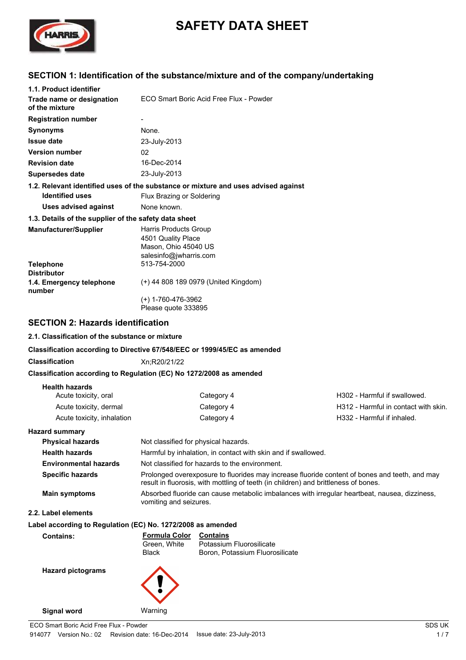

# **SAFETY DATA SHEET**

# **SECTION 1: Identification of the substance/mixture and of the company/undertaking**

| 1.1. Product identifier                                                   |                                                                                               |                                                                                                                                                                                      |                                      |
|---------------------------------------------------------------------------|-----------------------------------------------------------------------------------------------|--------------------------------------------------------------------------------------------------------------------------------------------------------------------------------------|--------------------------------------|
| Trade name or designation<br>of the mixture                               |                                                                                               | ECO Smart Boric Acid Free Flux - Powder                                                                                                                                              |                                      |
| <b>Registration number</b>                                                |                                                                                               |                                                                                                                                                                                      |                                      |
| <b>Synonyms</b>                                                           | None.                                                                                         |                                                                                                                                                                                      |                                      |
| <b>Issue date</b>                                                         | 23-July-2013                                                                                  |                                                                                                                                                                                      |                                      |
| <b>Version number</b>                                                     | 02                                                                                            |                                                                                                                                                                                      |                                      |
| <b>Revision date</b>                                                      | 16-Dec-2014                                                                                   |                                                                                                                                                                                      |                                      |
| <b>Supersedes date</b>                                                    | 23-July-2013                                                                                  |                                                                                                                                                                                      |                                      |
|                                                                           |                                                                                               | 1.2. Relevant identified uses of the substance or mixture and uses advised against                                                                                                   |                                      |
| <b>Identified uses</b>                                                    | Flux Brazing or Soldering                                                                     |                                                                                                                                                                                      |                                      |
| <b>Uses advised against</b>                                               | None known.                                                                                   |                                                                                                                                                                                      |                                      |
| 1.3. Details of the supplier of the safety data sheet                     |                                                                                               |                                                                                                                                                                                      |                                      |
| Manufacturer/Supplier                                                     | Harris Products Group<br>4501 Quality Place<br>Mason, Ohio 45040 US<br>salesinfo@jwharris.com |                                                                                                                                                                                      |                                      |
| <b>Telephone</b><br><b>Distributor</b>                                    | 513-754-2000                                                                                  |                                                                                                                                                                                      |                                      |
| 1.4. Emergency telephone<br>number                                        |                                                                                               | (+) 44 808 189 0979 (United Kingdom)                                                                                                                                                 |                                      |
|                                                                           | $(+)$ 1-760-476-3962<br>Please quote 333895                                                   |                                                                                                                                                                                      |                                      |
| <b>SECTION 2: Hazards identification</b>                                  |                                                                                               |                                                                                                                                                                                      |                                      |
| 2.1. Classification of the substance or mixture                           |                                                                                               |                                                                                                                                                                                      |                                      |
| Classification according to Directive 67/548/EEC or 1999/45/EC as amended |                                                                                               |                                                                                                                                                                                      |                                      |
| <b>Classification</b>                                                     | Xn;R20/21/22                                                                                  |                                                                                                                                                                                      |                                      |
| Classification according to Regulation (EC) No 1272/2008 as amended       |                                                                                               |                                                                                                                                                                                      |                                      |
| <b>Health hazards</b>                                                     |                                                                                               |                                                                                                                                                                                      |                                      |
| Acute toxicity, oral                                                      |                                                                                               | Category 4                                                                                                                                                                           | H302 - Harmful if swallowed.         |
| Acute toxicity, dermal                                                    |                                                                                               | Category 4                                                                                                                                                                           | H312 - Harmful in contact with skin. |
| Acute toxicity, inhalation                                                |                                                                                               | Category 4                                                                                                                                                                           | H332 - Harmful if inhaled.           |
| <b>Hazard summary</b>                                                     |                                                                                               |                                                                                                                                                                                      |                                      |
| <b>Physical hazards</b>                                                   | Not classified for physical hazards.                                                          |                                                                                                                                                                                      |                                      |
| <b>Health hazards</b>                                                     |                                                                                               | Harmful by inhalation, in contact with skin and if swallowed.                                                                                                                        |                                      |
| <b>Environmental hazards</b>                                              |                                                                                               | Not classified for hazards to the environment.                                                                                                                                       |                                      |
| <b>Specific hazards</b>                                                   |                                                                                               | Prolonged overexposure to fluorides may increase fluoride content of bones and teeth, and may<br>result in fluorosis, with mottling of teeth (in children) and brittleness of bones. |                                      |
| <b>Main symptoms</b>                                                      | vomiting and seizures.                                                                        | Absorbed fluoride can cause metabolic imbalances with irregular heartbeat, nausea, dizziness,                                                                                        |                                      |
| 2.2. Label elements                                                       |                                                                                               |                                                                                                                                                                                      |                                      |
| Label according to Regulation (EC) No. 1272/2008 as amended               |                                                                                               |                                                                                                                                                                                      |                                      |
| <b>Contains:</b>                                                          | <b>Formula Color</b><br>Green, White<br>Black                                                 | <b>Contains</b><br>Potassium Fluorosilicate<br>Boron, Potassium Fluorosilicate                                                                                                       |                                      |
| <b>Hazard pictograms</b>                                                  |                                                                                               |                                                                                                                                                                                      |                                      |

**Signal word** Warning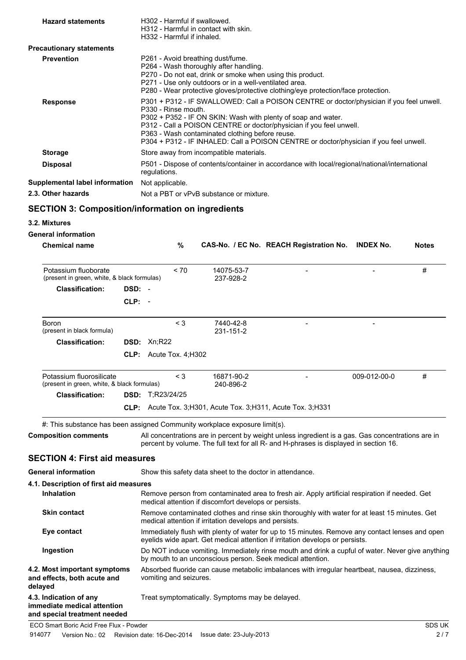| <b>Hazard statements</b>                                                   | H332 - Harmful if inhaled. |       | H302 - Harmful if swallowed.<br>H312 - Harmful in contact with skin.                                                                                                                                |  |                                                                                                                                      |                                                                                                                                                                                            |              |
|----------------------------------------------------------------------------|----------------------------|-------|-----------------------------------------------------------------------------------------------------------------------------------------------------------------------------------------------------|--|--------------------------------------------------------------------------------------------------------------------------------------|--------------------------------------------------------------------------------------------------------------------------------------------------------------------------------------------|--------------|
| <b>Precautionary statements</b>                                            |                            |       |                                                                                                                                                                                                     |  |                                                                                                                                      |                                                                                                                                                                                            |              |
| <b>Prevention</b>                                                          |                            |       | P261 - Avoid breathing dust/fume.<br>P264 - Wash thoroughly after handling.<br>P270 - Do not eat, drink or smoke when using this product.<br>P271 - Use only outdoors or in a well-ventilated area. |  | P280 - Wear protective gloves/protective clothing/eye protection/face protection.                                                    |                                                                                                                                                                                            |              |
| <b>Response</b>                                                            | P330 - Rinse mouth.        |       | P363 - Wash contaminated clothing before reuse.                                                                                                                                                     |  | P302 + P352 - IF ON SKIN: Wash with plenty of soap and water.<br>P312 - Call a POISON CENTRE or doctor/physician if you feel unwell. | P301 + P312 - IF SWALLOWED: Call a POISON CENTRE or doctor/physician if you feel unwell.<br>P304 + P312 - IF INHALED: Call a POISON CENTRE or doctor/physician if you feel unwell.         |              |
| <b>Storage</b>                                                             |                            |       | Store away from incompatible materials.                                                                                                                                                             |  |                                                                                                                                      |                                                                                                                                                                                            |              |
| <b>Disposal</b>                                                            | regulations.               |       |                                                                                                                                                                                                     |  |                                                                                                                                      | P501 - Dispose of contents/container in accordance with local/regional/national/international                                                                                              |              |
| Supplemental label information                                             | Not applicable.            |       |                                                                                                                                                                                                     |  |                                                                                                                                      |                                                                                                                                                                                            |              |
| 2.3. Other hazards                                                         |                            |       | Not a PBT or vPvB substance or mixture.                                                                                                                                                             |  |                                                                                                                                      |                                                                                                                                                                                            |              |
| <b>SECTION 3: Composition/information on ingredients</b>                   |                            |       |                                                                                                                                                                                                     |  |                                                                                                                                      |                                                                                                                                                                                            |              |
| 3.2. Mixtures                                                              |                            |       |                                                                                                                                                                                                     |  |                                                                                                                                      |                                                                                                                                                                                            |              |
| <b>General information</b>                                                 |                            |       |                                                                                                                                                                                                     |  |                                                                                                                                      |                                                                                                                                                                                            |              |
| <b>Chemical name</b>                                                       |                            | %     |                                                                                                                                                                                                     |  | CAS-No. / EC No. REACH Registration No.                                                                                              | <b>INDEX No.</b>                                                                                                                                                                           | <b>Notes</b> |
| Potassium fluoborate<br>(present in green, white, & black formulas)        |                            | ~170  | 14075-53-7<br>237-928-2                                                                                                                                                                             |  |                                                                                                                                      |                                                                                                                                                                                            | #            |
| <b>Classification:</b>                                                     | DSD: -                     |       |                                                                                                                                                                                                     |  |                                                                                                                                      |                                                                                                                                                                                            |              |
|                                                                            | $CLP: -$                   |       |                                                                                                                                                                                                     |  |                                                                                                                                      |                                                                                                                                                                                            |              |
| <b>Boron</b><br>(present in black formula)                                 |                            | $<$ 3 | 7440-42-8<br>231-151-2                                                                                                                                                                              |  |                                                                                                                                      |                                                                                                                                                                                            |              |
| <b>Classification:</b>                                                     | <b>DSD: Xn:R22</b>         |       |                                                                                                                                                                                                     |  |                                                                                                                                      |                                                                                                                                                                                            |              |
|                                                                            | CLP: Acute Tox. 4;H302     |       |                                                                                                                                                                                                     |  |                                                                                                                                      |                                                                                                                                                                                            |              |
| Potassium fluorosilicate<br>(present in green, white, & black formulas)    |                            | < 3   | 16871-90-2<br>240-896-2                                                                                                                                                                             |  |                                                                                                                                      | 009-012-00-0                                                                                                                                                                               | #            |
| <b>Classification:</b>                                                     | <b>DSD:</b> T;R23/24/25    |       |                                                                                                                                                                                                     |  |                                                                                                                                      |                                                                                                                                                                                            |              |
|                                                                            |                            |       |                                                                                                                                                                                                     |  | CLP: Acute Tox. 3;H301, Acute Tox. 3;H311, Acute Tox. 3;H331                                                                         |                                                                                                                                                                                            |              |
| #: This substance has been assigned Community workplace exposure limit(s). |                            |       |                                                                                                                                                                                                     |  |                                                                                                                                      |                                                                                                                                                                                            |              |
| <b>Composition comments</b>                                                |                            |       |                                                                                                                                                                                                     |  |                                                                                                                                      | All concentrations are in percent by weight unless ingredient is a gas. Gas concentrations are in<br>percent by volume. The full text for all R- and H-phrases is displayed in section 16. |              |
| <b>SECTION 4: First aid measures</b>                                       |                            |       |                                                                                                                                                                                                     |  |                                                                                                                                      |                                                                                                                                                                                            |              |
| <b>General information</b>                                                 |                            |       | Show this safety data sheet to the doctor in attendance.                                                                                                                                            |  |                                                                                                                                      |                                                                                                                                                                                            |              |
| 4.1. Description of first aid measures                                     |                            |       |                                                                                                                                                                                                     |  |                                                                                                                                      |                                                                                                                                                                                            |              |
| <b>Inhalation</b>                                                          |                            |       | medical attention if discomfort develops or persists.                                                                                                                                               |  |                                                                                                                                      | Remove person from contaminated area to fresh air. Apply artificial respiration if needed. Get                                                                                             |              |
| <b>Skin contact</b>                                                        |                            |       | medical attention if irritation develops and persists.                                                                                                                                              |  |                                                                                                                                      | Remove contaminated clothes and rinse skin thoroughly with water for at least 15 minutes. Get                                                                                              |              |
| Eye contact                                                                |                            |       |                                                                                                                                                                                                     |  | eyelids wide apart. Get medical attention if irritation develops or persists.                                                        | Immediately flush with plenty of water for up to 15 minutes. Remove any contact lenses and open                                                                                            |              |
| Ingestion                                                                  |                            |       | by mouth to an unconscious person. Seek medical attention.                                                                                                                                          |  |                                                                                                                                      | Do NOT induce vomiting. Immediately rinse mouth and drink a cupful of water. Never give anything                                                                                           |              |
| 4.2. Most important symptoms<br>and effects, both acute and<br>delayed     | vomiting and seizures.     |       |                                                                                                                                                                                                     |  |                                                                                                                                      | Absorbed fluoride can cause metabolic imbalances with irregular heartbeat, nausea, dizziness,                                                                                              |              |
| 4.3. Indication of any<br>immediate medical attention                      |                            |       | Treat symptomatically. Symptoms may be delayed.                                                                                                                                                     |  |                                                                                                                                      |                                                                                                                                                                                            |              |

**and special treatment needed**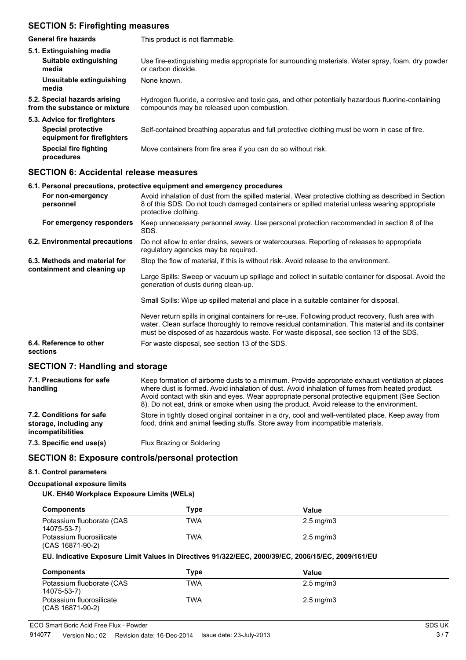### **SECTION 5: Firefighting measures**

| General fire hazards                                          | This product is not flammable.                                                                                                                  |
|---------------------------------------------------------------|-------------------------------------------------------------------------------------------------------------------------------------------------|
| 5.1. Extinguishing media                                      |                                                                                                                                                 |
| Suitable extinguishing<br>media                               | Use fire-extinguishing media appropriate for surrounding materials. Water spray, foam, dry powder<br>or carbon dioxide.                         |
| Unsuitable extinguishing<br>media                             | None known.                                                                                                                                     |
| 5.2. Special hazards arising<br>from the substance or mixture | Hydrogen fluoride, a corrosive and toxic gas, and other potentially hazardous fluorine-containing<br>compounds may be released upon combustion. |
| 5.3. Advice for firefighters                                  |                                                                                                                                                 |
| <b>Special protective</b><br>equipment for firefighters       | Self-contained breathing apparatus and full protective clothing must be worn in case of fire.                                                   |
| Special fire fighting<br>procedures                           | Move containers from fire area if you can do so without risk.                                                                                   |
|                                                               |                                                                                                                                                 |

#### **SECTION 6: Accidental release measures**

|                                                              | 6.1. Personal precautions, protective equipment and emergency procedures                                                                                                                                                                                                                          |
|--------------------------------------------------------------|---------------------------------------------------------------------------------------------------------------------------------------------------------------------------------------------------------------------------------------------------------------------------------------------------|
| For non-emergency<br>personnel                               | Avoid inhalation of dust from the spilled material. Wear protective clothing as described in Section<br>8 of this SDS. Do not touch damaged containers or spilled material unless wearing appropriate<br>protective clothing.                                                                     |
| For emergency responders                                     | Keep unnecessary personnel away. Use personal protection recommended in section 8 of the<br>SDS.                                                                                                                                                                                                  |
| 6.2. Environmental precautions                               | Do not allow to enter drains, sewers or watercourses. Reporting of releases to appropriate<br>regulatory agencies may be required.                                                                                                                                                                |
| 6.3. Methods and material for<br>containment and cleaning up | Stop the flow of material, if this is without risk. Avoid release to the environment.                                                                                                                                                                                                             |
|                                                              | Large Spills: Sweep or vacuum up spillage and collect in suitable container for disposal. Avoid the<br>generation of dusts during clean-up.                                                                                                                                                       |
|                                                              | Small Spills: Wipe up spilled material and place in a suitable container for disposal.                                                                                                                                                                                                            |
|                                                              | Never return spills in original containers for re-use. Following product recovery, flush area with<br>water. Clean surface thoroughly to remove residual contamination. This material and its container<br>must be disposed of as hazardous waste. For waste disposal, see section 13 of the SDS. |
| 6.4. Reference to other<br>sections                          | For waste disposal, see section 13 of the SDS.                                                                                                                                                                                                                                                    |

## **SECTION 7: Handling and storage**

| 7.1. Precautions for safe<br>handling                                          | Keep formation of airborne dusts to a minimum. Provide appropriate exhaust ventilation at places<br>where dust is formed. Avoid inhalation of dust. Avoid inhalation of fumes from heated product.<br>Avoid contact with skin and eyes. Wear appropriate personal protective equipment (See Section<br>8). Do not eat, drink or smoke when using the product. Avoid release to the environment. |
|--------------------------------------------------------------------------------|-------------------------------------------------------------------------------------------------------------------------------------------------------------------------------------------------------------------------------------------------------------------------------------------------------------------------------------------------------------------------------------------------|
| 7.2. Conditions for safe<br>storage, including any<br><b>incompatibilities</b> | Store in tightly closed original container in a dry, cool and well-ventilated place. Keep away from<br>food, drink and animal feeding stuffs. Store away from incompatible materials.                                                                                                                                                                                                           |
| 7.3. Specific end use(s)                                                       | Flux Brazing or Soldering                                                                                                                                                                                                                                                                                                                                                                       |
|                                                                                |                                                                                                                                                                                                                                                                                                                                                                                                 |

#### **SECTION 8: Exposure controls/personal protection**

#### **8.1. Control parameters**

#### **Occupational exposure limits**

#### **UK. EH40 Workplace Exposure Limits (WELs)**

| <b>Components</b>                            | Type       | Value                |  |
|----------------------------------------------|------------|----------------------|--|
| Potassium fluoborate (CAS<br>14075-53-7)     | <b>TWA</b> | $2.5 \text{ mg/m}$ 3 |  |
| Potassium fluorosilicate<br>(CAS 16871-90-2) | TWA        | $2.5 \text{ mg/m}$ 3 |  |

#### **EU. Indicative Exposure Limit Values in Directives 91/322/EEC, 2000/39/EC, 2006/15/EC, 2009/161/EU**

| <b>Components</b>                            | Type       | Value              |  |
|----------------------------------------------|------------|--------------------|--|
| Potassium fluoborate (CAS<br>14075-53-7)     | <b>TWA</b> | $2.5 \text{ mg/m}$ |  |
| Potassium fluorosilicate<br>(CAS 16871-90-2) | TWA        | $2.5 \text{ mg/m}$ |  |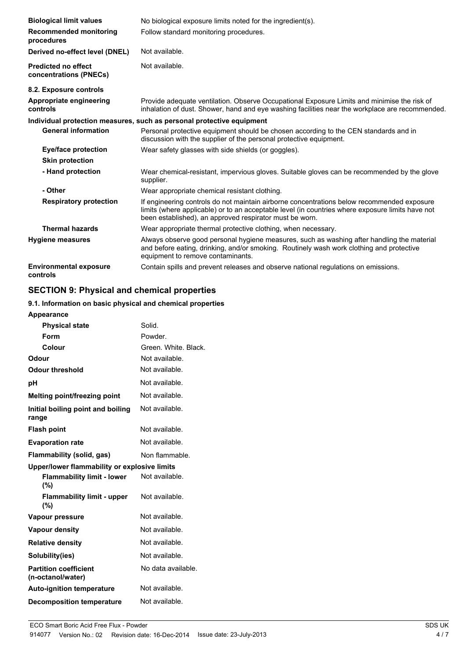| <b>Biological limit values</b>                       | No biological exposure limits noted for the ingredient(s).                                                                                                                                                                                                |
|------------------------------------------------------|-----------------------------------------------------------------------------------------------------------------------------------------------------------------------------------------------------------------------------------------------------------|
| <b>Recommended monitoring</b><br>procedures          | Follow standard monitoring procedures.                                                                                                                                                                                                                    |
| Derived no-effect level (DNEL)                       | Not available.                                                                                                                                                                                                                                            |
| <b>Predicted no effect</b><br>concentrations (PNECs) | Not available.                                                                                                                                                                                                                                            |
| 8.2. Exposure controls                               |                                                                                                                                                                                                                                                           |
| Appropriate engineering<br>controls                  | Provide adequate ventilation. Observe Occupational Exposure Limits and minimise the risk of<br>inhalation of dust. Shower, hand and eye washing facilities near the workplace are recommended.                                                            |
|                                                      | Individual protection measures, such as personal protective equipment                                                                                                                                                                                     |
| <b>General information</b>                           | Personal protective equipment should be chosen according to the CEN standards and in<br>discussion with the supplier of the personal protective equipment.                                                                                                |
| <b>Eye/face protection</b>                           | Wear safety glasses with side shields (or goggles).                                                                                                                                                                                                       |
| <b>Skin protection</b>                               |                                                                                                                                                                                                                                                           |
| - Hand protection                                    | Wear chemical-resistant, impervious gloves. Suitable gloves can be recommended by the glove<br>supplier.                                                                                                                                                  |
| - Other                                              | Wear appropriate chemical resistant clothing.                                                                                                                                                                                                             |
| <b>Respiratory protection</b>                        | If engineering controls do not maintain airborne concentrations below recommended exposure<br>limits (where applicable) or to an acceptable level (in countries where exposure limits have not<br>been established), an approved respirator must be worn. |
| <b>Thermal hazards</b>                               | Wear appropriate thermal protective clothing, when necessary.                                                                                                                                                                                             |
| <b>Hygiene measures</b>                              | Always observe good personal hygiene measures, such as washing after handling the material<br>and before eating, drinking, and/or smoking. Routinely wash work clothing and protective<br>equipment to remove contaminants.                               |
| <b>Environmental exposure</b><br>controls            | Contain spills and prevent releases and observe national regulations on emissions.                                                                                                                                                                        |

# **SECTION 9: Physical and chemical properties**

#### **9.1. Information on basic physical and chemical properties**

| <b>Appearance</b>                                 |                      |
|---------------------------------------------------|----------------------|
| <b>Physical state</b>                             | Solid.               |
| Form                                              | Powder.              |
| Colour                                            | Green. White. Black. |
| Odour                                             | Not available.       |
| <b>Odour threshold</b>                            | Not available.       |
| рH                                                | Not available.       |
| <b>Melting point/freezing point</b>               | Not available.       |
| Initial boiling point and boiling<br>range        | Not available.       |
| <b>Flash point</b>                                | Not available.       |
| <b>Evaporation rate</b>                           | Not available.       |
| Flammability (solid, gas)                         | Non flammable.       |
| Upper/lower flammability or explosive limits      |                      |
| <b>Flammability limit - lower</b><br>(%)          | Not available.       |
| <b>Flammability limit - upper</b><br>(%)          | Not available.       |
| Vapour pressure                                   | Not available.       |
| <b>Vapour density</b>                             | Not available.       |
| <b>Relative density</b>                           | Not available.       |
| Solubility(ies)                                   | Not available.       |
| <b>Partition coefficient</b><br>(n-octanol/water) | No data available.   |
| <b>Auto-ignition temperature</b>                  | Not available.       |
| <b>Decomposition temperature</b>                  | Not available.       |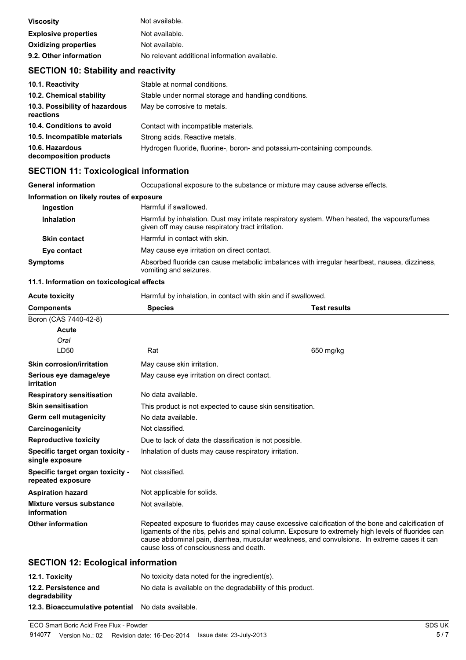| <b>Viscosity</b>            | Not available.                                |
|-----------------------------|-----------------------------------------------|
| <b>Explosive properties</b> | Not available.                                |
| <b>Oxidizing properties</b> | Not available.                                |
| 9.2. Other information      | No relevant additional information available. |

# **SECTION 10: Stability and reactivity**

| 10.1. Reactivity                            | Stable at normal conditions.                                             |
|---------------------------------------------|--------------------------------------------------------------------------|
| 10.2. Chemical stability                    | Stable under normal storage and handling conditions.                     |
| 10.3. Possibility of hazardous<br>reactions | May be corrosive to metals.                                              |
| 10.4. Conditions to avoid                   | Contact with incompatible materials.                                     |
| 10.5. Incompatible materials                | Strong acids. Reactive metals.                                           |
| 10.6. Hazardous<br>decomposition products   | Hydrogen fluoride, fluorine-, boron- and potassium-containing compounds. |

# **SECTION 11: Toxicological information**

| <b>General information</b>               | Occupational exposure to the substance or mixture may cause adverse effects.                                                                     |
|------------------------------------------|--------------------------------------------------------------------------------------------------------------------------------------------------|
| Information on likely routes of exposure |                                                                                                                                                  |
| Ingestion                                | Harmful if swallowed.                                                                                                                            |
| <b>Inhalation</b>                        | Harmful by inhalation. Dust may irritate respiratory system. When heated, the vapours/fumes<br>given off may cause respiratory tract irritation. |
| <b>Skin contact</b>                      | Harmful in contact with skin.                                                                                                                    |
| Eye contact                              | May cause eye irritation on direct contact.                                                                                                      |
| <b>Symptoms</b>                          | Absorbed fluoride can cause metabolic imbalances with irregular heartbeat, nausea, dizziness,<br>vomiting and seizures.                          |

#### **11.1. Information on toxicological effects**

| <b>Acute toxicity</b>                                 | Harmful by inhalation, in contact with skin and if swallowed.                                                                                                                                                                                                                                                                                     |                     |
|-------------------------------------------------------|---------------------------------------------------------------------------------------------------------------------------------------------------------------------------------------------------------------------------------------------------------------------------------------------------------------------------------------------------|---------------------|
| <b>Components</b>                                     | <b>Species</b>                                                                                                                                                                                                                                                                                                                                    | <b>Test results</b> |
| Boron (CAS 7440-42-8)                                 |                                                                                                                                                                                                                                                                                                                                                   |                     |
| Acute                                                 |                                                                                                                                                                                                                                                                                                                                                   |                     |
| Oral                                                  |                                                                                                                                                                                                                                                                                                                                                   |                     |
| LD50                                                  | Rat                                                                                                                                                                                                                                                                                                                                               | 650 mg/kg           |
| <b>Skin corrosion/irritation</b>                      | May cause skin irritation.                                                                                                                                                                                                                                                                                                                        |                     |
| Serious eye damage/eye<br>irritation                  | May cause eye irritation on direct contact.                                                                                                                                                                                                                                                                                                       |                     |
| <b>Respiratory sensitisation</b>                      | No data available.                                                                                                                                                                                                                                                                                                                                |                     |
| <b>Skin sensitisation</b>                             | This product is not expected to cause skin sensitisation.                                                                                                                                                                                                                                                                                         |                     |
| Germ cell mutagenicity                                | No data available.                                                                                                                                                                                                                                                                                                                                |                     |
| Carcinogenicity                                       | Not classified.                                                                                                                                                                                                                                                                                                                                   |                     |
| <b>Reproductive toxicity</b>                          | Due to lack of data the classification is not possible.                                                                                                                                                                                                                                                                                           |                     |
| Specific target organ toxicity -<br>single exposure   | Inhalation of dusts may cause respiratory irritation.                                                                                                                                                                                                                                                                                             |                     |
| Specific target organ toxicity -<br>repeated exposure | Not classified.                                                                                                                                                                                                                                                                                                                                   |                     |
| <b>Aspiration hazard</b>                              | Not applicable for solids.                                                                                                                                                                                                                                                                                                                        |                     |
| Mixture versus substance<br>information               | Not available.                                                                                                                                                                                                                                                                                                                                    |                     |
| <b>Other information</b>                              | Repeated exposure to fluorides may cause excessive calcification of the bone and calcification of<br>ligaments of the ribs, pelvis and spinal column. Exposure to extremely high levels of fluorides can<br>cause abdominal pain, diarrhea, muscular weakness, and convulsions. In extreme cases it can<br>cause loss of consciousness and death. |                     |
| <b>CECTION 12: Ecological information</b>             |                                                                                                                                                                                                                                                                                                                                                   |                     |

#### **SECTION 12: Ecological information**

| 12.1. Toxicity                                     | No toxicity data noted for the ingredient(s).              |
|----------------------------------------------------|------------------------------------------------------------|
| 12.2. Persistence and<br>degradability             | No data is available on the degradability of this product. |
| 12.3. Bioaccumulative potential No data available. |                                                            |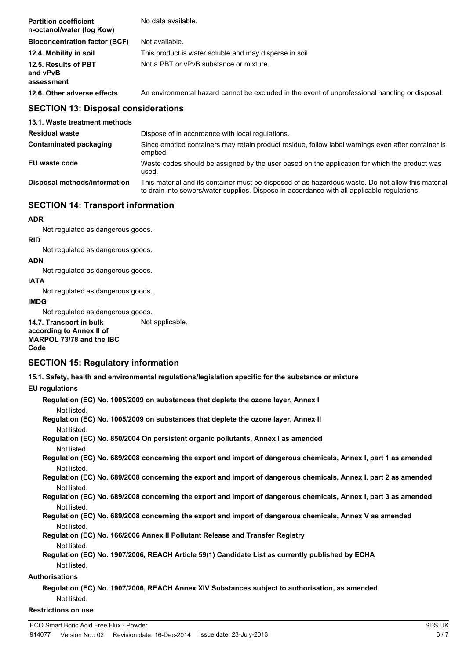| <b>Partition coefficient</b><br>n-octanol/water (log Kow) | No data available.                                                                              |
|-----------------------------------------------------------|-------------------------------------------------------------------------------------------------|
| <b>Bioconcentration factor (BCF)</b>                      | Not available.                                                                                  |
| 12.4. Mobility in soil                                    | This product is water soluble and may disperse in soil.                                         |
| 12.5. Results of PBT<br>and vPvB<br>assessment            | Not a PBT or vPvB substance or mixture.                                                         |
| 12.6. Other adverse effects                               | An environmental hazard cannot be excluded in the event of unprofessional handling or disposal. |

#### **SECTION 13: Disposal considerations**

| 13.1. Waste treatment methods |                                                                                                                                                                                                   |
|-------------------------------|---------------------------------------------------------------------------------------------------------------------------------------------------------------------------------------------------|
| <b>Residual waste</b>         | Dispose of in accordance with local regulations.                                                                                                                                                  |
| Contaminated packaging        | Since emptied containers may retain product residue, follow label warnings even after container is<br>emptied.                                                                                    |
| EU waste code                 | Waste codes should be assigned by the user based on the application for which the product was<br>used.                                                                                            |
| Disposal methods/information  | This material and its container must be disposed of as hazardous waste. Do not allow this material<br>to drain into sewers/water supplies. Dispose in accordance with all applicable regulations. |

### **SECTION 14: Transport information**

#### **ADR**

Not regulated as dangerous goods.

**RID** Not regulated as dangerous goods.

#### **ADN**

Not regulated as dangerous goods.

#### **IATA**

Not regulated as dangerous goods.

#### **IMDG**

Not regulated as dangerous goods. **14.7. Transport in bulk** Not applicable.

**according to Annex II of MARPOL 73/78 and the IBC Code**

#### **SECTION 15: Regulatory information**

**15.1. Safety, health and environmental regulations/legislation specific for the substance or mixture**

#### **EU regulations**

| Regulation (EC) No. 1005/2009 on substances that deplete the ozone layer, Annex I                                                              |
|------------------------------------------------------------------------------------------------------------------------------------------------|
| Not listed.<br>Regulation (EC) No. 1005/2009 on substances that deplete the ozone layer, Annex II                                              |
| Not listed.                                                                                                                                    |
| Regulation (EC) No. 850/2004 On persistent organic pollutants, Annex I as amended<br>Not listed.                                               |
| Regulation (EC) No. 689/2008 concerning the export and import of dangerous chemicals, Annex I, part 1 as amended<br>Not listed.                |
| Regulation (EC) No. 689/2008 concerning the export and import of dangerous chemicals, Annex I, part 2 as amended                               |
| Not listed.<br>Regulation (EC) No. 689/2008 concerning the export and import of dangerous chemicals, Annex I, part 3 as amended<br>Not listed. |
| Regulation (EC) No. 689/2008 concerning the export and import of dangerous chemicals, Annex V as amended<br>Not listed.                        |
| Regulation (EC) No. 166/2006 Annex II Pollutant Release and Transfer Registry                                                                  |
| Not listed.                                                                                                                                    |
| Regulation (EC) No. 1907/2006, REACH Article 59(1) Candidate List as currently published by ECHA                                               |
| Not listed.                                                                                                                                    |
| <b>Authorisations</b>                                                                                                                          |
| Regulation (EC) No. 1907/2006, REACH Annex XIV Substances subject to authorisation, as amended                                                 |
| Not listed.                                                                                                                                    |
| <b>Restrictions on use</b>                                                                                                                     |